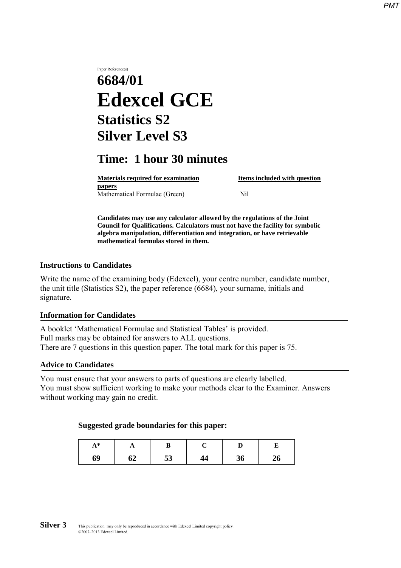# Paper Reference(s) **6684/01 Edexcel GCE Statistics S2 Silver Level S3**

# **Time: 1 hour 30 minutes**

**Materials required for examination Items included with question papers** Mathematical Formulae (Green)Nil

**Candidates may use any calculator allowed by the regulations of the Joint Council for Qualifications. Calculators must not have the facility for symbolic algebra manipulation, differentiation and integration, or have retrievable mathematical formulas stored in them.**

#### **Instructions to Candidates**

Write the name of the examining body (Edexcel), your centre number, candidate number, the unit title (Statistics S2), the paper reference (6684), your surname, initials and signature.

#### **Information for Candidates**

A booklet 'Mathematical Formulae and Statistical Tables' is provided. Full marks may be obtained for answers to ALL questions. There are 7 questions in this question paper. The total mark for this paper is 75.

#### **Advice to Candidates**

You must ensure that your answers to parts of questions are clearly labelled. You must show sufficient working to make your methods clear to the Examiner. Answers without working may gain no credit.

#### **Suggested grade boundaries for this paper:**

| $A^*$ | A  |    |    |    |    |
|-------|----|----|----|----|----|
| 69    | 62 | 53 | 44 | 36 | 26 |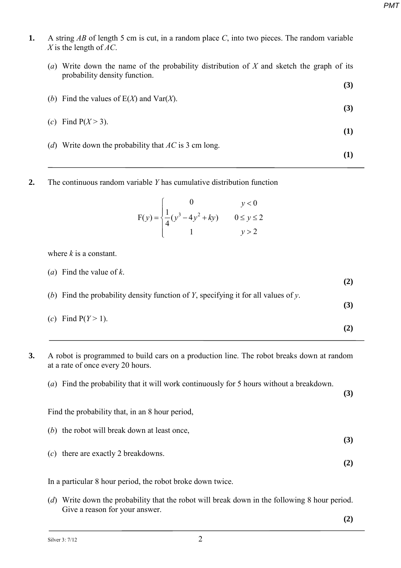**(3)**

- **1.** A string *AB* of length 5 cm is cut, in a random place *C*, into two pieces. The random variable *X* is the length of *AC*.
	- (*a*) Write down the name of the probability distribution of *X* and sketch the graph of its probability density function.
	- (*b*) Find the values of E(*X*) and Var(*X*). **(3)** (*c*) Find  $P(X > 3)$ . **(1)** (*d*) Write down the probability that *AC* is 3 cm long. **(1)**
- **2.** The continuous random variable *Y* has cumulative distribution function

$$
F(y) = \begin{cases} 0 & y < 0\\ \frac{1}{4}(y^3 - 4y^2 + ky) & 0 \le y \le 2\\ 1 & y > 2 \end{cases}
$$

where *k* is a constant.

| ( <i>a</i> ) Find the value of $k$ .                                               | (2) |
|------------------------------------------------------------------------------------|-----|
| (b) Find the probability density function of Y, specifying it for all values of y. | (3) |
| (c) Find $P(Y > 1)$ .                                                              |     |

- **3.** A robot is programmed to build cars on a production line. The robot breaks down at random at a rate of once every 20 hours.
	- (*a*) Find the probability that it will work continuously for 5 hours without a breakdown.

**(3)**

Find the probability that, in an 8 hour period,

- (*b*) the robot will break down at least once, **(3)**
- (*c*) there are exactly 2 breakdowns.

In a particular 8 hour period, the robot broke down twice.

(*d*) Write down the probability that the robot will break down in the following 8 hour period. Give a reason for your answer.

**(2)**

**(2)**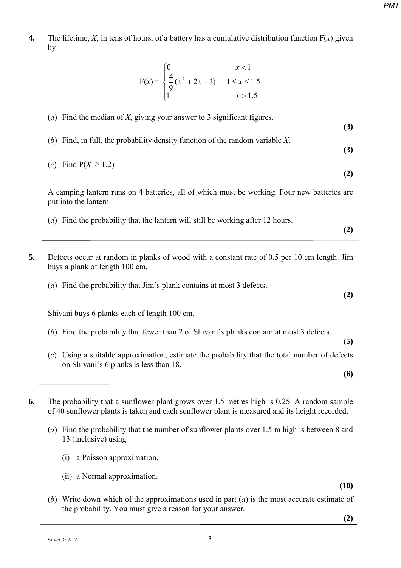**4.** The lifetime, *X*, in tens of hours, of a battery has a cumulative distribution function  $F(x)$  given by

$$
F(x) = \begin{cases} 0 & x < 1 \\ \frac{4}{9}(x^2 + 2x - 3) & 1 \le x \le 1.5 \\ 1 & x > 1.5 \end{cases}
$$

- (*a*) Find the median of *X*, giving your answer to 3 significant figures. **(3)** (*b*) Find, in full, the probability density function of the random variable *X*. **(3)** (*c*) Find P(*X* ≥ 1.2) **(2)** A camping lantern runs on 4 batteries, all of which must be working. Four new batteries are put into the lantern. (*d*) Find the probability that the lantern will still be working after 12 hours. **(2) 5.** Defects occur at random in planks of wood with a constant rate of 0.5 per 10 cm length. Jim buys a plank of length 100 cm. (*a*) Find the probability that Jim's plank contains at most 3 defects. **(2)** Shivani buys 6 planks each of length 100 cm. (*b*) Find the probability that fewer than 2 of Shivani's planks contain at most 3 defects. **(5)** (*c*) Using a suitable approximation, estimate the probability that the total number of defects on Shivani's 6 planks is less than 18. **(6)**
- **6.** The probability that a sunflower plant grows over 1.5 metres high is 0.25. A random sample of 40 sunflower plants is taken and each sunflower plant is measured and its height recorded.
	- (*a*) Find the probability that the number of sunflower plants over 1.5 m high is between 8 and 13 (inclusive) using
		- (i) a Poisson approximation,
		- (ii) a Normal approximation.

**(10)** 

(*b*) Write down which of the approximations used in part (*a*) is the most accurate estimate of the probability. You must give a reason for your answer.

**(2)**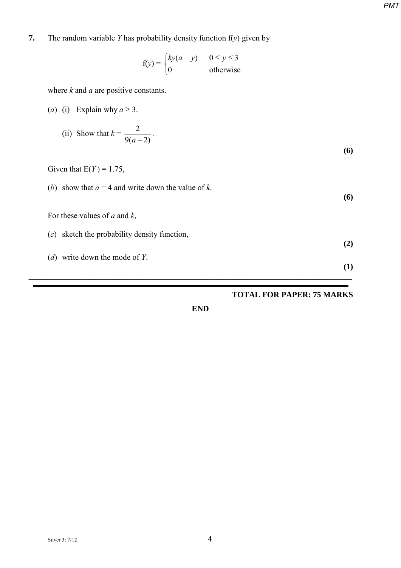**7.** The random variable *Y* has probability density function f(*y*) given by

$$
f(y) = \begin{cases} ky(a - y) & 0 \le y \le 3\\ 0 & \text{otherwise} \end{cases}
$$

where *k* and *a* are positive constants.

(*a*) (i) Explain why  $a \ge 3$ .

(ii) Show that 
$$
k = \frac{2}{9(a-2)}
$$
. (6)

Given that  $E(Y) = 1.75$ ,

(*b*) show that  $a = 4$  and write down the value of *k*.

For these values of *a* and *k*,

- (*c*) sketch the probability density function,
- (*d*) write down the mode of *Y*.

#### **TOTAL FOR PAPER: 75 MARKS**

**(6)**

**(2)**

**(1)**

**END**

**\_\_\_\_\_\_\_\_\_\_\_\_\_\_\_\_\_\_\_\_\_\_\_\_\_\_\_\_\_\_\_\_\_\_\_\_\_\_\_\_\_\_\_\_\_\_\_\_\_\_\_\_\_\_\_\_\_\_\_\_\_\_\_\_\_\_\_\_\_\_\_\_\_\_\_\_\_\_\_\_**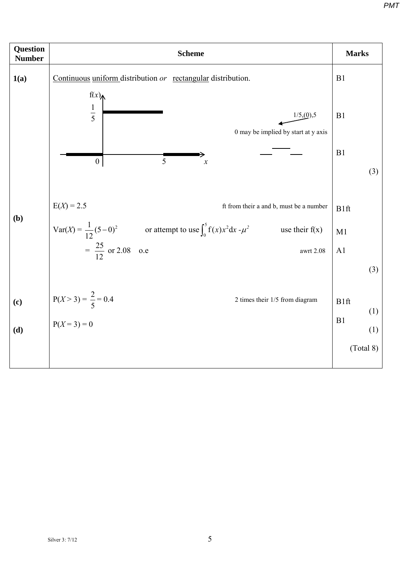**Question Number Number** *Marks* **1(a) (b) (c) (d)**  Continuous uniform distribution *or* rectangular distribution.  $\frac{1}{5}$  1/5,(0),5 0 may be implied by start at y axis  $E(X) = 2.5$  ft from their a and b, must be a number Var(*X*) =  $\frac{1}{12}(5-0)^2$  or attempt to use  $\int_0^5 f(x)x^2 dx - \mu^2$  use their f(x)  $=\frac{25}{12}$ 12 or 2.08 o.e awrt 2.08  $P(X > 3) = \frac{2}{7}$ 5 2 times their  $1/5$  from diagram  $P(X = 3) = 0$ B1 B1 B1 (3) B1ft M1 A1 (3) B1ft (1) B1 (1) (Total 8) 1 5 0 | 5 *x*  $f(x)$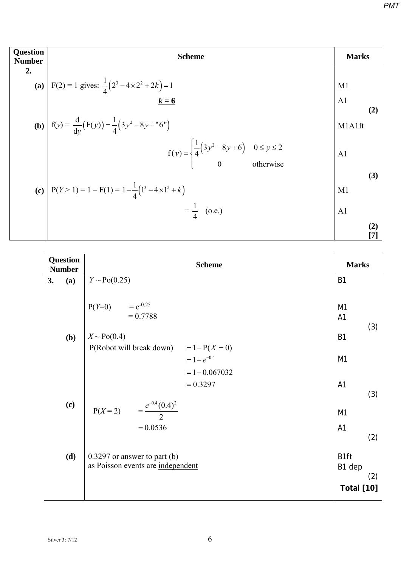| <b>Question</b><br><b>Number</b> | <b>Scheme</b>                                                                                          |                |            |  |  |  |  |
|----------------------------------|--------------------------------------------------------------------------------------------------------|----------------|------------|--|--|--|--|
| 2.                               |                                                                                                        |                |            |  |  |  |  |
|                                  | (a) $F(2) = 1$ gives: $\frac{1}{4}(2^3 - 4 \times 2^2 + 2k) = 1$                                       | M <sub>1</sub> |            |  |  |  |  |
|                                  | $k = 6$                                                                                                | A <sub>1</sub> |            |  |  |  |  |
|                                  | <b>(b)</b> $f(y) = \frac{d}{dy}(F(y)) = \frac{1}{4}(3y^2 - 8y + "6")$                                  | M1A1ft         | (2)        |  |  |  |  |
|                                  | $f(y) = \begin{cases} \frac{1}{4} (3y^2 - 8y + 6) & 0 \le y \le 2 \\ 0 & \text{otherwise} \end{cases}$ | A1             |            |  |  |  |  |
|                                  |                                                                                                        |                | (3)        |  |  |  |  |
|                                  | (c) $P(Y > 1) = 1 - F(1) = 1 - \frac{1}{4}(1^3 - 4 \times 1^2 + k)$                                    | M1             |            |  |  |  |  |
|                                  | $=\frac{1}{4}$ (o.e.)                                                                                  | A <sub>1</sub> |            |  |  |  |  |
|                                  |                                                                                                        |                | (2)<br>[7] |  |  |  |  |

| <b>Question</b><br><b>Number</b> |     | <b>Scheme</b>                                                                 |                                                        |  |  |
|----------------------------------|-----|-------------------------------------------------------------------------------|--------------------------------------------------------|--|--|
| 3.                               | (a) | $Y \sim Po(0.25)$                                                             | <b>B1</b>                                              |  |  |
|                                  |     | $P(Y=0)$ = $e^{-0.25}$<br>$= 0.7788$                                          | M <sub>1</sub><br>A1<br>(3)                            |  |  |
|                                  | (b) | $X \sim Po(0.4)$                                                              | <b>B1</b>                                              |  |  |
|                                  |     | $P($ Robot will break down) = $1-P(X=0)$<br>$=1-e^{-0.4}$<br>$= 1 - 0.067032$ | M <sub>1</sub>                                         |  |  |
|                                  |     | $= 0.3297$                                                                    | A <sub>1</sub><br>(3)                                  |  |  |
|                                  | (c) | $P(X=2)$ = $\frac{e^{-0.4}(0.4)^2}{2}$                                        | M <sub>1</sub>                                         |  |  |
|                                  |     | $= 0.0536$                                                                    | A <sub>1</sub><br>(2)                                  |  |  |
|                                  | (d) | $0.3297$ or answer to part (b)<br>as Poisson events are independent           | B <sub>1ft</sub><br>B1 dep<br>(2)<br><b>Total [10]</b> |  |  |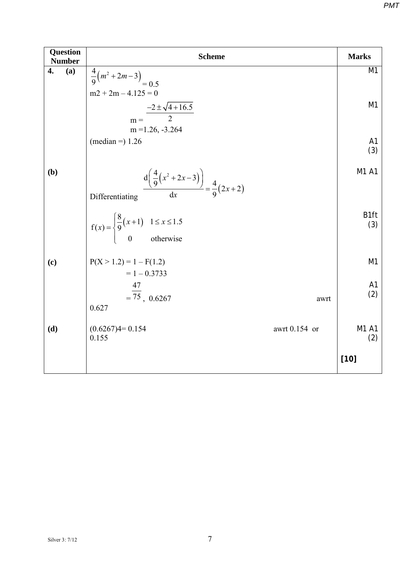| <b>Question</b><br><b>Number</b> | <b>Scheme</b>                                                                                   |                       |  |  |  |  |
|----------------------------------|-------------------------------------------------------------------------------------------------|-----------------------|--|--|--|--|
| 4.<br>(a)                        | $\frac{4}{9}(m^2+2m-3)$ <sub>=0.5</sub><br>$m2 + 2m - 4.125 = 0$                                | M <sub>1</sub>        |  |  |  |  |
|                                  | $-2 \pm \sqrt{4+16.5}$<br>$\overline{2}$<br>$m =$<br>$m = 1.26, -3.264$                         | M1                    |  |  |  |  |
|                                  | (median = $1.26$                                                                                | A <sub>1</sub><br>(3) |  |  |  |  |
| (b)                              | $\frac{d\left(\frac{4}{9}(x^2+2x-3)\right)}{dx} = \frac{4}{9}(2x+2)$<br>Differentiating         | M1 A1                 |  |  |  |  |
|                                  | $f(x) = \begin{cases} \frac{8}{9}(x+1) & 1 \leq x \leq 1.5 \\ 0 & \text{otherwise} \end{cases}$ | B1ft<br>(3)           |  |  |  |  |
| (c)                              | $P(X > 1.2) = 1 - F(1.2)$<br>$= 1 - 0.3733$                                                     | M1                    |  |  |  |  |
|                                  | $\frac{47}{-75}$ , 0.6267<br>awrt<br>0.627                                                      | A <sub>1</sub><br>(2) |  |  |  |  |
| (d)                              | $(0.6267)4=0.154$<br>awrt 0.154 or<br>0.155                                                     | M1 A1<br>(2)          |  |  |  |  |
|                                  |                                                                                                 | $[10]$                |  |  |  |  |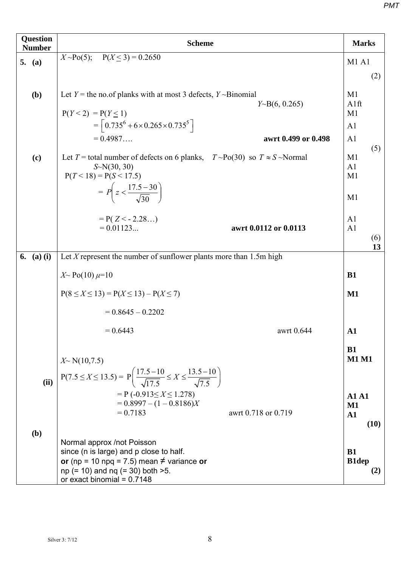| <b>Question</b><br><b>Number</b> | <b>Scheme</b>                                                                                                                                                                                      |                                                        |  |  |  |  |
|----------------------------------|----------------------------------------------------------------------------------------------------------------------------------------------------------------------------------------------------|--------------------------------------------------------|--|--|--|--|
| 5. $(a)$                         | $X \sim Po(5)$ ; $P(X \le 3) = 0.2650$                                                                                                                                                             | <b>M1 A1</b>                                           |  |  |  |  |
|                                  |                                                                                                                                                                                                    | (2)                                                    |  |  |  |  |
| (b)                              | Let $Y$ = the no.of planks with at most 3 defects, $Y \sim Binomial$<br>$Y \sim B(6, 0.265)$<br>$P(Y < 2) = P(Y \le 1)$<br>$=\left[0.735^{6}+6\times0.265\times0.735^{5}\right]$                   | M1<br>A1ft<br>M1<br>A <sub>1</sub>                     |  |  |  |  |
|                                  | $= 0.4987$<br>awrt 0.499 or 0.498                                                                                                                                                                  | A <sub>1</sub>                                         |  |  |  |  |
| (c)                              | Let T = total number of defects on 6 planks, $T \sim Po(30)$ so $T \approx S \sim Normal$<br>$S-N(30, 30)$<br>$P(T < 18) = P(S < 17.5)$<br>$= P\left(z < \frac{17.5 - 30}{\sqrt{30}}\right)$       | (5)<br>M1<br>A <sub>1</sub><br>M <sub>1</sub><br>M1    |  |  |  |  |
|                                  | $= P(Z \leq -2.28)$<br>$= 0.01123$<br>awrt 0.0112 or 0.0113                                                                                                                                        | A <sub>1</sub><br>A <sub>1</sub><br>(6)<br>13          |  |  |  |  |
| $(a)$ $(i)$<br>6.                | Let $X$ represent the number of sunflower plants more than 1.5m high                                                                                                                               |                                                        |  |  |  |  |
|                                  | $X \sim Po(10) \mu=10$                                                                                                                                                                             | <b>B1</b>                                              |  |  |  |  |
|                                  | $P(8 \le X \le 13) = P(X \le 13) - P(X \le 7)$                                                                                                                                                     | $\mathbf{M1}$                                          |  |  |  |  |
|                                  | $= 0.8645 - 0.2202$                                                                                                                                                                                |                                                        |  |  |  |  |
|                                  | awrt 0.644<br>$= 0.6443$                                                                                                                                                                           | ${\bf A1}$                                             |  |  |  |  |
| (ii)                             | $X \sim N(10, 7.5)$<br>$P(7.5 \le X \le 13.5) = P\left(\frac{17.5 - 10}{\sqrt{17.5}} \le X \le \frac{13.5 - 10}{\sqrt{7.5}}\right)$                                                                | <b>B1</b><br><b>M1 M1</b>                              |  |  |  |  |
|                                  | $= P(-0.913 \le X \le 1.278)$<br>$= 0.8997 - (1 - 0.8186)X$<br>$= 0.7183$<br>awrt 0.718 or 0.719                                                                                                   | <b>A1 A1</b><br>$\mathbf{M1}$<br>$\mathbf{A1}$<br>(10) |  |  |  |  |
| (b)                              | Normal approx /not Poisson<br>since (n is large) and p close to half.<br>or (np = 10 npq = 7.5) mean $\neq$ variance or<br>$np (= 10)$ and $nq (= 30)$ both $>5$ .<br>or exact binomial = $0.7148$ | <b>B1</b><br><b>B1dep</b><br>(2)                       |  |  |  |  |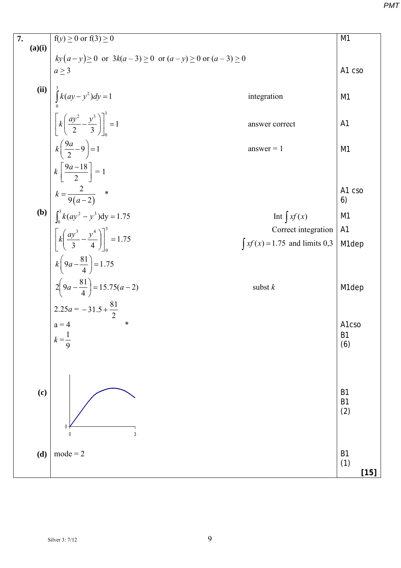| 7.     | $f(y) \ge 0$ or $f(3) \ge 0$                                                                                                | M <sub>1</sub>                        |  |  |  |  |
|--------|-----------------------------------------------------------------------------------------------------------------------------|---------------------------------------|--|--|--|--|
| (a)(i) | $ky(a-y) \ge 0$ or $3k(a-3) \ge 0$ or $(a-y) \ge 0$ or $(a-3) \ge 0$                                                        |                                       |  |  |  |  |
|        | $a \geq 3$                                                                                                                  | A1 cso                                |  |  |  |  |
|        |                                                                                                                             |                                       |  |  |  |  |
| (iii)  | $\int_{0}^{3} k(ay - y^2) dy = 1$<br>integration                                                                            | M1                                    |  |  |  |  |
|        |                                                                                                                             |                                       |  |  |  |  |
|        | $\left[\left[k\left(\frac{ay^2}{2} - \frac{y^3}{3}\right)\right]\right]_0^3 = 1$<br>answer correct                          | A <sub>1</sub>                        |  |  |  |  |
|        |                                                                                                                             |                                       |  |  |  |  |
|        | $k\left(\frac{9a}{2}-9\right)=1$<br>$answer = 1$                                                                            | M <sub>1</sub>                        |  |  |  |  |
|        | $k\left[\frac{9a-18}{2}\right]=1$                                                                                           |                                       |  |  |  |  |
|        | $k = \frac{2}{9(a-2)}$ *                                                                                                    | A1 cso<br>6)                          |  |  |  |  |
|        | <b>(b)</b> $\int_0^3 k (ay^2 - y^3) dy = 1.75$<br>Int $\int xf(x)$                                                          | M <sub>1</sub>                        |  |  |  |  |
|        |                                                                                                                             | Correct integration<br>A <sub>1</sub> |  |  |  |  |
|        | $\left[\frac{k\left(\frac{ay^{3}}{3}-\frac{y^{4}}{4}\right)\right]_{0}^{3}}{3}=1.75$<br>$\int x f(x) = 1.75$ and limits 0,3 | M1dep                                 |  |  |  |  |
|        | $k\left(9a-\frac{81}{4}\right)=1.75$                                                                                        |                                       |  |  |  |  |
|        | $2\left(9a - \frac{81}{4}\right) = 15.75(a - 2)$<br>subst $k$                                                               | M1dep                                 |  |  |  |  |
|        | $2.25a = -31.5 + \frac{81}{2}$                                                                                              |                                       |  |  |  |  |
|        | $a = 4$<br>∗                                                                                                                | A1cso                                 |  |  |  |  |
|        | $k = \frac{1}{9}$                                                                                                           | <b>B1</b>                             |  |  |  |  |
|        |                                                                                                                             | (6)                                   |  |  |  |  |
|        |                                                                                                                             |                                       |  |  |  |  |
|        |                                                                                                                             |                                       |  |  |  |  |
| (c)    |                                                                                                                             | B <sub>1</sub><br><b>B1</b>           |  |  |  |  |
|        |                                                                                                                             | (2)                                   |  |  |  |  |
|        |                                                                                                                             |                                       |  |  |  |  |
|        | 3<br>$\pmb{0}$                                                                                                              |                                       |  |  |  |  |
| (d)    | $mode = 2$                                                                                                                  | B <sub>1</sub>                        |  |  |  |  |
|        |                                                                                                                             | (1)<br>$[15]$                         |  |  |  |  |
|        |                                                                                                                             |                                       |  |  |  |  |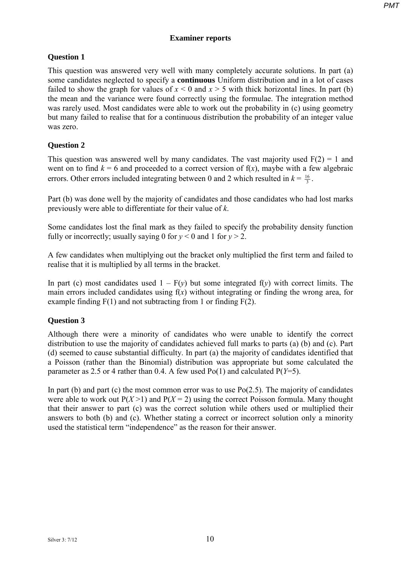## **Examiner reports**

# **Question 1**

This question was answered very well with many completely accurate solutions. In part (a) some candidates neglected to specify a **continuous** Uniform distribution and in a lot of cases failed to show the graph for values of  $x < 0$  and  $x > 5$  with thick horizontal lines. In part (b) the mean and the variance were found correctly using the formulae. The integration method was rarely used. Most candidates were able to work out the probability in (c) using geometry but many failed to realise that for a continuous distribution the probability of an integer value was zero.

# **Question 2**

This question was answered well by many candidates. The vast majority used  $F(2) = 1$  and went on to find  $k = 6$  and proceeded to a correct version of  $f(x)$ , maybe with a few algebraic errors. Other errors included integrating between 0 and 2 which resulted in  $k = \frac{16}{3}$ .

Part (b) was done well by the majority of candidates and those candidates who had lost marks previously were able to differentiate for their value of *k*.

Some candidates lost the final mark as they failed to specify the probability density function fully or incorrectly; usually saying 0 for  $y < 0$  and 1 for  $y > 2$ .

A few candidates when multiplying out the bracket only multiplied the first term and failed to realise that it is multiplied by all terms in the bracket.

In part (c) most candidates used  $1 - F(y)$  but some integrated  $f(y)$  with correct limits. The main errors included candidates using f(*x*) without integrating or finding the wrong area, for example finding  $F(1)$  and not subtracting from 1 or finding  $F(2)$ .

### **Question 3**

Although there were a minority of candidates who were unable to identify the correct distribution to use the majority of candidates achieved full marks to parts (a) (b) and (c). Part (d) seemed to cause substantial difficulty. In part (a) the majority of candidates identified that a Poisson (rather than the Binomial) distribution was appropriate but some calculated the parameter as 2.5 or 4 rather than 0.4. A few used Po(1) and calculated P(*Y*=5).

In part (b) and part (c) the most common error was to use  $Po(2.5)$ . The majority of candidates were able to work out  $P(X>1)$  and  $P(X=2)$  using the correct Poisson formula. Many thought that their answer to part (c) was the correct solution while others used or multiplied their answers to both (b) and (c). Whether stating a correct or incorrect solution only a minority used the statistical term "independence" as the reason for their answer.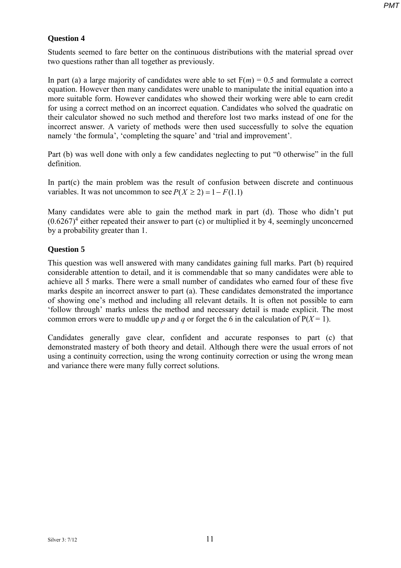# **Question 4**

Students seemed to fare better on the continuous distributions with the material spread over two questions rather than all together as previously.

In part (a) a large majority of candidates were able to set  $F(m) = 0.5$  and formulate a correct equation. However then many candidates were unable to manipulate the initial equation into a more suitable form. However candidates who showed their working were able to earn credit for using a correct method on an incorrect equation. Candidates who solved the quadratic on their calculator showed no such method and therefore lost two marks instead of one for the incorrect answer. A variety of methods were then used successfully to solve the equation namely 'the formula', 'completing the square' and 'trial and improvement'.

Part (b) was well done with only a few candidates neglecting to put "0 otherwise" in the full definition.

In part(c) the main problem was the result of confusion between discrete and continuous variables. It was not uncommon to see  $P(X \ge 2) = 1 - F(1.1)$ 

Many candidates were able to gain the method mark in part (d). Those who didn't put  $(0.6267)^4$  either repeated their answer to part (c) or multiplied it by 4, seemingly unconcerned by a probability greater than 1.

# **Question 5**

This question was well answered with many candidates gaining full marks. Part (b) required considerable attention to detail, and it is commendable that so many candidates were able to achieve all 5 marks. There were a small number of candidates who earned four of these five marks despite an incorrect answer to part (a). These candidates demonstrated the importance of showing one's method and including all relevant details. It is often not possible to earn 'follow through' marks unless the method and necessary detail is made explicit. The most common errors were to muddle up *p* and *q* or forget the 6 in the calculation of  $P(X = 1)$ .

Candidates generally gave clear, confident and accurate responses to part (c) that demonstrated mastery of both theory and detail. Although there were the usual errors of not using a continuity correction, using the wrong continuity correction or using the wrong mean and variance there were many fully correct solutions.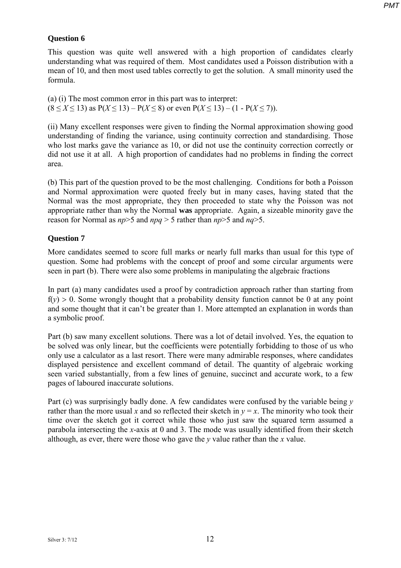### **Question 6**

This question was quite well answered with a high proportion of candidates clearly understanding what was required of them. Most candidates used a Poisson distribution with a mean of 10, and then most used tables correctly to get the solution. A small minority used the formula.

(a) (i) The most common error in this part was to interpret: (8 ≤ *X* ≤ 13) as P(*X* ≤ 13) – P(*X* ≤ 8) or even P(*X* ≤ 13) – (1 - P(*X* ≤ 7)).

(ii) Many excellent responses were given to finding the Normal approximation showing good understanding of finding the variance, using continuity correction and standardising. Those who lost marks gave the variance as 10, or did not use the continuity correction correctly or did not use it at all. A high proportion of candidates had no problems in finding the correct area.

(b) This part of the question proved to be the most challenging. Conditions for both a Poisson and Normal approximation were quoted freely but in many cases, having stated that the Normal was the most appropriate, they then proceeded to state why the Poisson was not appropriate rather than why the Normal **was** appropriate. Again, a sizeable minority gave the reason for Normal as *np*>5 and *npq* > 5 rather than *np*>5 and *nq*>5.

#### **Question 7**

More candidates seemed to score full marks or nearly full marks than usual for this type of question. Some had problems with the concept of proof and some circular arguments were seen in part (b). There were also some problems in manipulating the algebraic fractions

In part (a) many candidates used a proof by contradiction approach rather than starting from  $f(y) > 0$ . Some wrongly thought that a probability density function cannot be 0 at any point and some thought that it can't be greater than 1. More attempted an explanation in words than a symbolic proof.

Part (b) saw many excellent solutions. There was a lot of detail involved. Yes, the equation to be solved was only linear, but the coefficients were potentially forbidding to those of us who only use a calculator as a last resort. There were many admirable responses, where candidates displayed persistence and excellent command of detail. The quantity of algebraic working seen varied substantially, from a few lines of genuine, succinct and accurate work, to a few pages of laboured inaccurate solutions.

Part (c) was surprisingly badly done. A few candidates were confused by the variable being *y* rather than the more usual *x* and so reflected their sketch in  $y = x$ . The minority who took their time over the sketch got it correct while those who just saw the squared term assumed a parabola intersecting the *x*-axis at 0 and 3. The mode was usually identified from their sketch although, as ever, there were those who gave the *y* value rather than the *x* value.